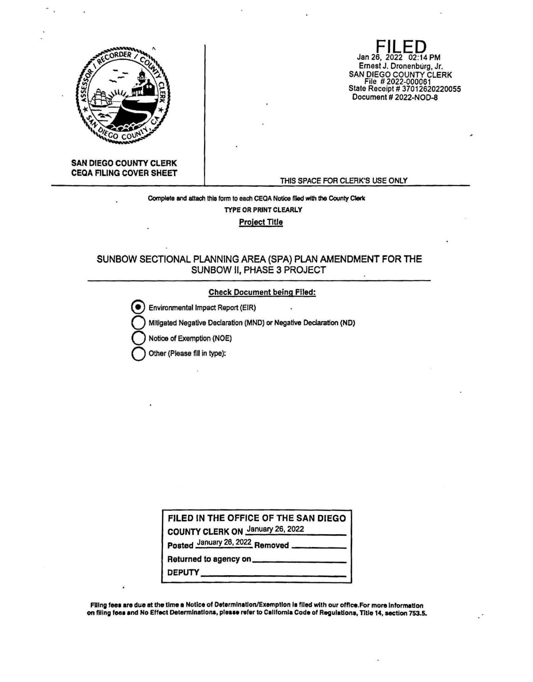

Jan 26, 2022 02:14 PM Ernest J. Dronenburg, Jr. SAN DIEGO COUNTY CLERK<br>File # 2022-000061<br>State Receipt # 37012620220055 Document # 2022-NOD-8

## **SAN DIEGO COUNTY CLERK CEQA FILING COVER SHEET**

#### THIS SPACE FOR CLERK'S USE ONLY

## Complete and attach this form to each CEQA Notice filed with the County Clerk TYPE OR PRINT CLEARLY

**Project Title** 

## SUNBOW SECTIONAL PLANNING AREA (SPA) PLAN AMENDMENT FOR THE SUNBOW II, PHASE 3 PROJECT

## **Check Document being Filed:**

Environmental Impact Report (EIR) Mitigated Negative Declaration (MND) or Negative Declaration (ND)

Notice of Exemption (NOE)

Other (Please fill in type):

FILED IN THE OFFICE OF THE SAN DIEGO

COUNTY CLERK ON January 26, 2022

Posted January 26, 2022 Removed

Returned to agency on \_\_

DEPUTY

Filing fees are due at the time a Notice of Determination/Exemption is filed with our office. For more information on filing fees and No Effect Determinations, please refer to California Code of Regulations, Title 14, section 753.5.